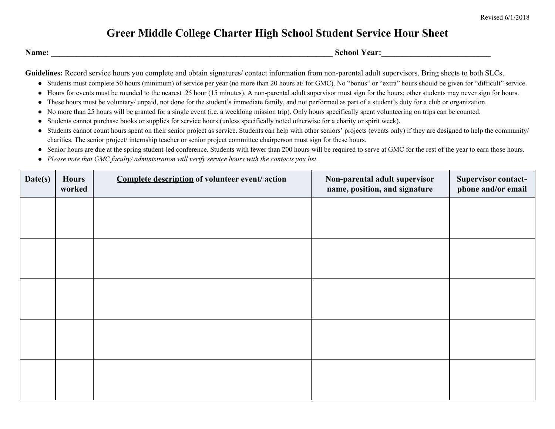## **Greer Middle College Charter High School Student Service Hour Sheet**

**Name:** School Year:

Guidelines: Record service hours you complete and obtain signatures/ contact information from non-parental adult supervisors. Bring sheets to both SLCs.

- Students must complete 50 hours (minimum) of service per year (no more than 20 hours at/ for GMC). No "bonus" or "extra" hours should be given for "difficult" service.
- Hours for events must be rounded to the nearest .25 hour (15 minutes). A non-parental adult supervisor must sign for the hours; other students may never sign for hours.
- These hours must be voluntary/ unpaid, not done for the student's immediate family, and not performed as part of a student's duty for a club or organization.
- No more than 25 hours will be granted for a single event (i.e. a weeklong mission trip). Only hours specifically spent volunteering on trips can be counted.
- Students cannot purchase books or supplies for service hours (unless specifically noted otherwise for a charity or spirit week).
- Students cannot count hours spent on their senior project as service. Students can help with other seniors' projects (events only) if they are designed to help the community/ charities. The senior project/ internship teacher or senior project committee chairperson must sign for these hours.
- Senior hours are due at the spring student-led conference. Students with fewer than 200 hours will be required to serve at GMC for the rest of the year to earn those hours.
- *● Please note that GMC faculty/ administration will verify service hours with the contacts you list.*

| Date(s) | <b>Hours</b><br>worked | Complete description of volunteer event/ action | Non-parental adult supervisor<br>name, position, and signature | <b>Supervisor contact-</b><br>phone and/or email |
|---------|------------------------|-------------------------------------------------|----------------------------------------------------------------|--------------------------------------------------|
|         |                        |                                                 |                                                                |                                                  |
|         |                        |                                                 |                                                                |                                                  |
|         |                        |                                                 |                                                                |                                                  |
|         |                        |                                                 |                                                                |                                                  |
|         |                        |                                                 |                                                                |                                                  |
|         |                        |                                                 |                                                                |                                                  |
|         |                        |                                                 |                                                                |                                                  |
|         |                        |                                                 |                                                                |                                                  |
|         |                        |                                                 |                                                                |                                                  |
|         |                        |                                                 |                                                                |                                                  |